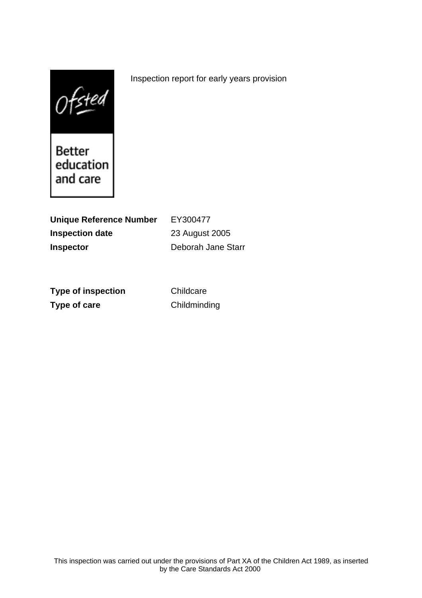$0$ fsted

Better education and care

**Unique Reference Number** EY300477 **Inspection date** 23 August 2005 **Inspector** Deborah Jane Starr

**Type of inspection** Childcare **Type of care** Childminding

Inspection report for early years provision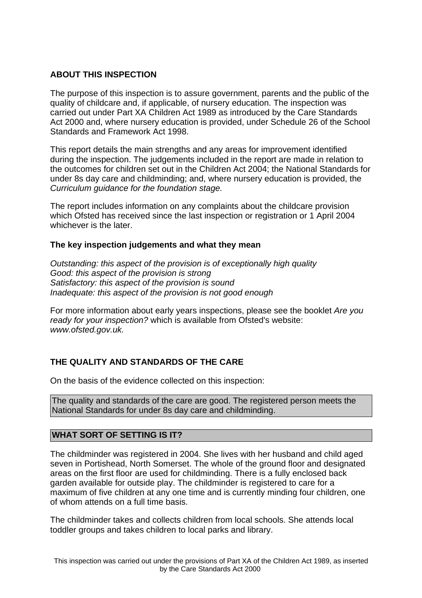## **ABOUT THIS INSPECTION**

The purpose of this inspection is to assure government, parents and the public of the quality of childcare and, if applicable, of nursery education. The inspection was carried out under Part XA Children Act 1989 as introduced by the Care Standards Act 2000 and, where nursery education is provided, under Schedule 26 of the School Standards and Framework Act 1998.

This report details the main strengths and any areas for improvement identified during the inspection. The judgements included in the report are made in relation to the outcomes for children set out in the Children Act 2004; the National Standards for under 8s day care and childminding; and, where nursery education is provided, the Curriculum guidance for the foundation stage.

The report includes information on any complaints about the childcare provision which Ofsted has received since the last inspection or registration or 1 April 2004 whichever is the later.

#### **The key inspection judgements and what they mean**

Outstanding: this aspect of the provision is of exceptionally high quality Good: this aspect of the provision is strong Satisfactory: this aspect of the provision is sound Inadequate: this aspect of the provision is not good enough

For more information about early years inspections, please see the booklet Are you ready for your inspection? which is available from Ofsted's website: www.ofsted.gov.uk.

# **THE QUALITY AND STANDARDS OF THE CARE**

On the basis of the evidence collected on this inspection:

The quality and standards of the care are good. The registered person meets the National Standards for under 8s day care and childminding.

# **WHAT SORT OF SETTING IS IT?**

The childminder was registered in 2004. She lives with her husband and child aged seven in Portishead, North Somerset. The whole of the ground floor and designated areas on the first floor are used for childminding. There is a fully enclosed back garden available for outside play. The childminder is registered to care for a maximum of five children at any one time and is currently minding four children, one of whom attends on a full time basis.

The childminder takes and collects children from local schools. She attends local toddler groups and takes children to local parks and library.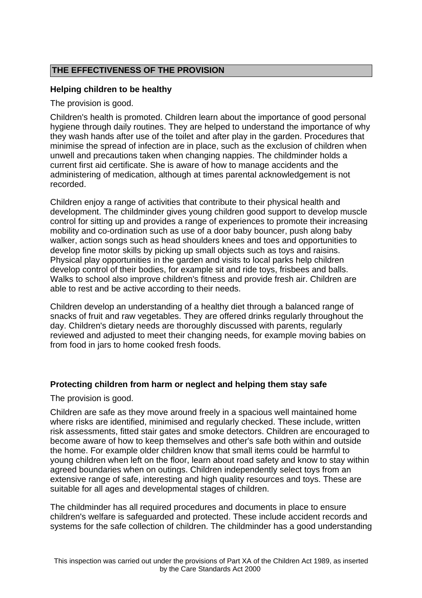# **THE EFFECTIVENESS OF THE PROVISION**

## **Helping children to be healthy**

The provision is good.

Children's health is promoted. Children learn about the importance of good personal hygiene through daily routines. They are helped to understand the importance of why they wash hands after use of the toilet and after play in the garden. Procedures that minimise the spread of infection are in place, such as the exclusion of children when unwell and precautions taken when changing nappies. The childminder holds a current first aid certificate. She is aware of how to manage accidents and the administering of medication, although at times parental acknowledgement is not recorded.

Children enjoy a range of activities that contribute to their physical health and development. The childminder gives young children good support to develop muscle control for sitting up and provides a range of experiences to promote their increasing mobility and co-ordination such as use of a door baby bouncer, push along baby walker, action songs such as head shoulders knees and toes and opportunities to develop fine motor skills by picking up small objects such as toys and raisins. Physical play opportunities in the garden and visits to local parks help children develop control of their bodies, for example sit and ride toys, frisbees and balls. Walks to school also improve children's fitness and provide fresh air. Children are able to rest and be active according to their needs.

Children develop an understanding of a healthy diet through a balanced range of snacks of fruit and raw vegetables. They are offered drinks regularly throughout the day. Children's dietary needs are thoroughly discussed with parents, regularly reviewed and adjusted to meet their changing needs, for example moving babies on from food in jars to home cooked fresh foods.

#### **Protecting children from harm or neglect and helping them stay safe**

The provision is good.

Children are safe as they move around freely in a spacious well maintained home where risks are identified, minimised and regularly checked. These include, written risk assessments, fitted stair gates and smoke detectors. Children are encouraged to become aware of how to keep themselves and other's safe both within and outside the home. For example older children know that small items could be harmful to young children when left on the floor, learn about road safety and know to stay within agreed boundaries when on outings. Children independently select toys from an extensive range of safe, interesting and high quality resources and toys. These are suitable for all ages and developmental stages of children.

The childminder has all required procedures and documents in place to ensure children's welfare is safeguarded and protected. These include accident records and systems for the safe collection of children. The childminder has a good understanding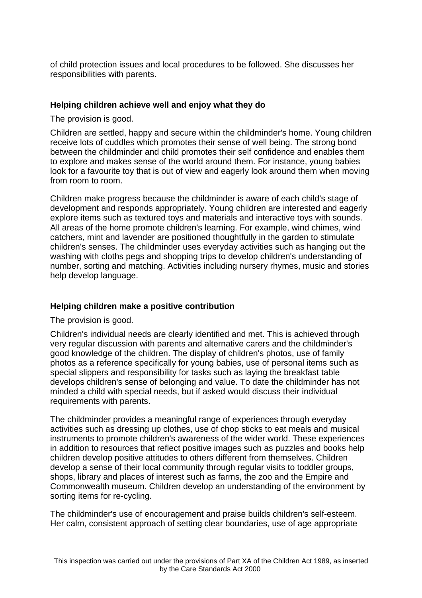of child protection issues and local procedures to be followed. She discusses her responsibilities with parents.

## **Helping children achieve well and enjoy what they do**

The provision is good.

Children are settled, happy and secure within the childminder's home. Young children receive lots of cuddles which promotes their sense of well being. The strong bond between the childminder and child promotes their self confidence and enables them to explore and makes sense of the world around them. For instance, young babies look for a favourite toy that is out of view and eagerly look around them when moving from room to room.

Children make progress because the childminder is aware of each child's stage of development and responds appropriately. Young children are interested and eagerly explore items such as textured toys and materials and interactive toys with sounds. All areas of the home promote children's learning. For example, wind chimes, wind catchers, mint and lavender are positioned thoughtfully in the garden to stimulate children's senses. The childminder uses everyday activities such as hanging out the washing with cloths pegs and shopping trips to develop children's understanding of number, sorting and matching. Activities including nursery rhymes, music and stories help develop language.

#### **Helping children make a positive contribution**

The provision is good.

Children's individual needs are clearly identified and met. This is achieved through very regular discussion with parents and alternative carers and the childminder's good knowledge of the children. The display of children's photos, use of family photos as a reference specifically for young babies, use of personal items such as special slippers and responsibility for tasks such as laying the breakfast table develops children's sense of belonging and value. To date the childminder has not minded a child with special needs, but if asked would discuss their individual requirements with parents.

The childminder provides a meaningful range of experiences through everyday activities such as dressing up clothes, use of chop sticks to eat meals and musical instruments to promote children's awareness of the wider world. These experiences in addition to resources that reflect positive images such as puzzles and books help children develop positive attitudes to others different from themselves. Children develop a sense of their local community through regular visits to toddler groups, shops, library and places of interest such as farms, the zoo and the Empire and Commonwealth museum. Children develop an understanding of the environment by sorting items for re-cycling.

The childminder's use of encouragement and praise builds children's self-esteem. Her calm, consistent approach of setting clear boundaries, use of age appropriate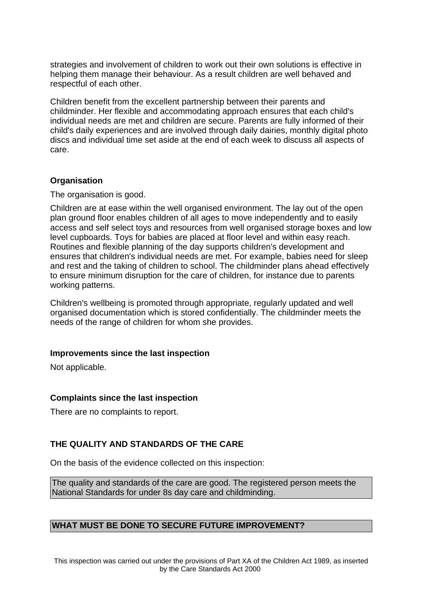strategies and involvement of children to work out their own solutions is effective in helping them manage their behaviour. As a result children are well behaved and respectful of each other.

Children benefit from the excellent partnership between their parents and childminder. Her flexible and accommodating approach ensures that each child's individual needs are met and children are secure. Parents are fully informed of their child's daily experiences and are involved through daily dairies, monthly digital photo discs and individual time set aside at the end of each week to discuss all aspects of care.

#### **Organisation**

The organisation is good.

Children are at ease within the well organised environment. The lay out of the open plan ground floor enables children of all ages to move independently and to easily access and self select toys and resources from well organised storage boxes and low level cupboards. Toys for babies are placed at floor level and within easy reach. Routines and flexible planning of the day supports children's development and ensures that children's individual needs are met. For example, babies need for sleep and rest and the taking of children to school. The childminder plans ahead effectively to ensure minimum disruption for the care of children, for instance due to parents working patterns.

Children's wellbeing is promoted through appropriate, regularly updated and well organised documentation which is stored confidentially. The childminder meets the needs of the range of children for whom she provides.

#### **Improvements since the last inspection**

Not applicable.

#### **Complaints since the last inspection**

There are no complaints to report.

# **THE QUALITY AND STANDARDS OF THE CARE**

On the basis of the evidence collected on this inspection:

The quality and standards of the care are good. The registered person meets the National Standards for under 8s day care and childminding.

#### **WHAT MUST BE DONE TO SECURE FUTURE IMPROVEMENT?**